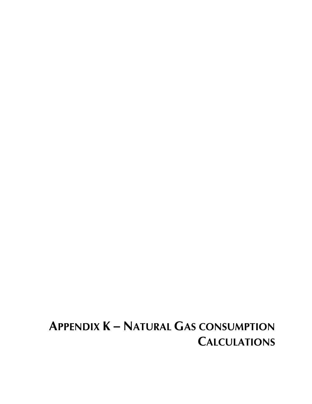## **APPENDIX K – NATURAL GAS CONSUMPTION CALCULATIONS**